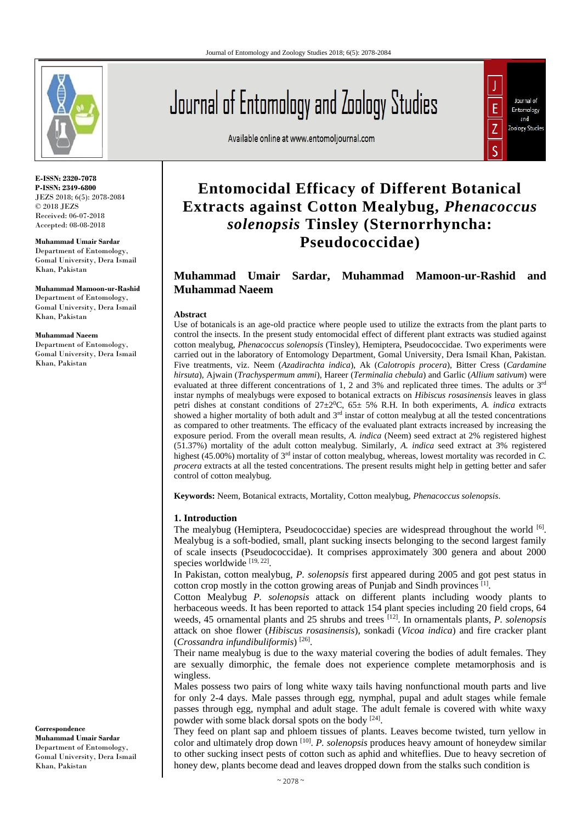

**E-ISSN: 2320-7078 P-ISSN: 2349-6800** JEZS 2018; 6(5): 2078-2084 © 2018 JEZS Received: 06-07-2018 Accepted: 08-08-2018

**Muhammad Umair Sardar** Department of Entomology, Gomal University, Dera Ismail Khan, Pakistan

**Muhammad Mamoon-ur-Rashid** Department of Entomology, Gomal University, Dera Ismail Khan, Pakistan

#### **Muhammad Naeem**

Department of Entomology, Gomal University, Dera Ismail Khan, Pakistan

**Correspondence Muhammad Umair Sardar** Department of Entomology, Gomal University, Dera Ismail Khan, Pakistan

# Journal of Entomology and Zoology Studies

Available online at www.entomoljournal.com



# **Entomocidal Efficacy of Different Botanical Extracts against Cotton Mealybug,** *Phenacoccus solenopsis* **Tinsley (Sternorrhyncha: Pseudococcidae)**

## **Muhammad Umair Sardar, Muhammad Mamoon-ur-Rashid and Muhammad Naeem**

#### **Abstract**

Use of botanicals is an age-old practice where people used to utilize the extracts from the plant parts to control the insects. In the present study entomocidal effect of different plant extracts was studied against cotton mealybug, *Phenacoccus solenopsis* (Tinsley), Hemiptera, Pseudococcidae. Two experiments were carried out in the laboratory of Entomology Department, Gomal University, Dera Ismail Khan, Pakistan. Five treatments, viz. Neem (*Azadirachta indica*), Ak (*Calotropis procera*), Bitter Cress (*Cardamine hirsuta*)*,* Ajwain (*Trachyspermum ammi*)*,* Hareer (*Terminalia chebula*) and Garlic (*Allium sativum*) were evaluated at three different concentrations of 1, 2 and 3% and replicated three times. The adults or 3rd instar nymphs of mealybugs were exposed to botanical extracts on *Hibiscus rosasinensis* leaves in glass petri dishes at constant conditions of  $27\pm20^{\circ}$ C,  $65\pm5\%$  R.H. In both experiments, *A. indica* extracts showed a higher mortality of both adult and  $3<sup>rd</sup>$  instar of cotton mealybug at all the tested concentrations as compared to other treatments. The efficacy of the evaluated plant extracts increased by increasing the exposure period. From the overall mean results, *A. indica* (Neem) seed extract at 2% registered highest (51.37%) mortality of the adult cotton mealybug. Similarly, *A. indica* seed extract at 3% registered highest (45.00%) mortality of 3<sup>rd</sup> instar of cotton mealybug, whereas, lowest mortality was recorded in *C*. *procera* extracts at all the tested concentrations. The present results might help in getting better and safer control of cotton mealybug.

**Keywords:** Neem, Botanical extracts, Mortality, Cotton mealybug, *Phenacoccus solenopsis*.

#### **1. Introduction**

The mealybug (Hemiptera, Pseudococcidae) species are widespread throughout the world  $\left[6\right]$ . Mealybug is a soft-bodied, small, plant sucking insects belonging to the second largest family of scale insects (Pseudococcidae). It comprises approximately 300 genera and about 2000 species worldwide [19, 22].

In Pakistan, cotton mealybug, *P. solenopsis* first appeared during 2005 and got pest status in cotton crop mostly in the cotton growing areas of Punjab and Sindh provinces [1] .

Cotton Mealybug *P. solenopsis* attack on different plants including woody plants to herbaceous weeds. It has been reported to attack 154 plant species including 20 field crops, 64 weeds, 45 ornamental plants and 25 shrubs and trees [12]. In ornamentals plants, *P. solenopsis* attack on shoe flower (*Hibiscus rosasinensis*), sonkadi (*Vicoa indica*) and fire cracker plant (*Crossandra infundibuliformis*) [26] .

Their name mealybug is due to the waxy material covering the bodies of adult females. They are sexually dimorphic, the female does not experience complete metamorphosis and is wingless.

Males possess two pairs of long white waxy tails having nonfunctional mouth parts and live for only 2-4 days. Male passes through egg, nymphal, pupal and adult stages while female passes through egg, nymphal and adult stage. The adult female is covered with white waxy powder with some black dorsal spots on the body [24].

They feed on plant sap and phloem tissues of plants. Leaves become twisted, turn yellow in color and ultimately drop down [10] . *P. solenopsis* produces heavy amount of honeydew similar to other sucking insect pests of cotton such as aphid and whiteflies. Due to heavy secretion of honey dew, plants become dead and leaves dropped down from the stalks such condition is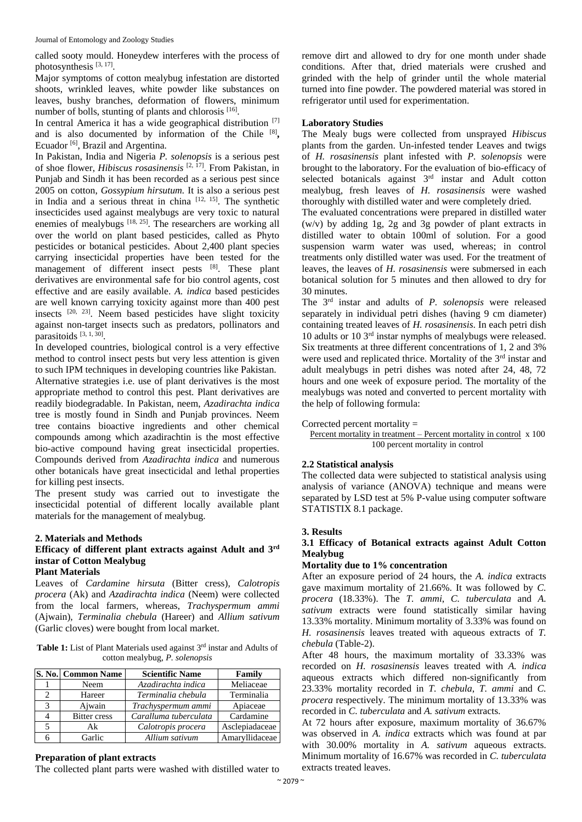called sooty mould. Honeydew interferes with the process of photosynthesis<sup>[3, 17]</sup>.

Major symptoms of cotton mealybug infestation are distorted shoots, wrinkled leaves, white powder like substances on leaves, bushy branches, deformation of flowers, minimum number of bolls, stunting of plants and chlorosis [16].

In central America it has a wide geographical distribution [7] and is also documented by information of the Chile [8], Ecuador<sup>[6]</sup>, Brazil and Argentina.

In Pakistan, India and Nigeria *P. solenopsis* is a serious pest of shoe flower, *Hibiscus rosasinensis* [2, 17]. From Pakistan, in Punjab and Sindh it has been recorded as a serious pest since 2005 on cotton, *Gossypium hirsutum.* It is also a serious pest in India and a serious threat in china [12, 15]. The synthetic insecticides used against mealybugs are very toxic to natural enemies of mealybugs  $[18, 25]$ . The researchers are working all over the world on plant based pesticides, called as Phyto pesticides or botanical pesticides. About 2,400 plant species carrying insecticidal properties have been tested for the management of different insect pests [8]. These plant derivatives are environmental safe for bio control agents, cost effective and are easily available. *A. indica* based pesticides are well known carrying toxicity against more than 400 pest insects [20, 23]. Neem based pesticides have slight toxicity against non-target insects such as predators, pollinators and parasitoids [3, 1, 30].

In developed countries, biological control is a very effective method to control insect pests but very less attention is given to such IPM techniques in developing countries like Pakistan. Alternative strategies i.e. use of plant derivatives is the most appropriate method to control this pest. Plant derivatives are readily biodegradable. In Pakistan, neem, *Azadirachta indica* tree is mostly found in Sindh and Punjab provinces. Neem tree contains bioactive ingredients and other chemical compounds among which azadirachtin is the most effective bio-active compound having great insecticidal properties. Compounds derived from *Azadirachta indica* and numerous other botanicals have great insecticidal and lethal properties for killing pest insects.

The present study was carried out to investigate the insecticidal potential of different locally available plant materials for the management of mealybug.

#### **2. Materials and Methods**

### **Efficacy of different plant extracts against Adult and 3rd instar of Cotton Mealybug**

#### **Plant Materials**

Leaves of *Cardamine hirsuta* (Bitter cress)*, Calotropis procera* (Ak) and *Azadirachta indica* (Neem) were collected from the local farmers, whereas, *Trachyspermum ammi*  (Ajwain)*, Terminalia chebula* (Hareer) and *Allium sativum* (Garlic cloves) were bought from local market.

| Table 1: List of Plant Materials used against 3rd instar and Adults of |
|------------------------------------------------------------------------|
| cotton mealybug, <i>P. solenopsis</i>                                  |

|   | S. No.   Common Name | <b>Scientific Name</b> | Family         |
|---|----------------------|------------------------|----------------|
|   | Neem                 | Azadirachta indica     | Meliaceae      |
| 2 | Hareer               | Terminalia chebula     | Terminalia     |
|   | Ajwain               | Trachyspermum ammi     | Apiaceae       |
|   | <b>Bitter</b> cress  | Caralluma tuberculata  | Cardamine      |
|   | Ak                   | Calotropis procera     | Asclepiadaceae |
|   | Garlic               | Allium sativum         | Amaryllidaceae |

#### **Preparation of plant extracts**

The collected plant parts were washed with distilled water to

remove dirt and allowed to dry for one month under shade conditions. After that, dried materials were crushed and grinded with the help of grinder until the whole material turned into fine powder. The powdered material was stored in refrigerator until used for experimentation.

#### **Laboratory Studies**

The Mealy bugs were collected from unsprayed *Hibiscus*  plants from the garden. Un-infested tender Leaves and twigs of *H. rosasinensis* plant infested with *P. solenopsis* were brought to the laboratory. For the evaluation of bio-efficacy of selected botanicals against 3<sup>rd</sup> instar and Adult cotton mealybug, fresh leaves of *H. rosasinensis* were washed thoroughly with distilled water and were completely dried.

The evaluated concentrations were prepared in distilled water (w/v) by adding 1g, 2g and 3g powder of plant extracts in distilled water to obtain 100ml of solution. For a good suspension warm water was used, whereas; in control treatments only distilled water was used. For the treatment of leaves, the leaves of *H. rosasinensis* were submersed in each botanical solution for 5 minutes and then allowed to dry for 30 minutes.

The 3rd instar and adults of *P. solenopsis* were released separately in individual petri dishes (having 9 cm diameter) containing treated leaves of *H. rosasinensis*. In each petri dish 10 adults or 10 3rd instar nymphs of mealybugs were released. Six treatments at three different concentrations of 1, 2 and 3% were used and replicated thrice. Mortality of the 3<sup>rd</sup> instar and adult mealybugs in petri dishes was noted after 24, 48, 72 hours and one week of exposure period. The mortality of the mealybugs was noted and converted to percent mortality with the help of following formula:

Corrected percent mortality  $=$ 

Percent mortality in treatment – Percent mortality in control x 100 100 percent mortality in control

#### **2.2 Statistical analysis**

The collected data were subjected to statistical analysis using analysis of variance (ANOVA) technique and means were separated by LSD test at 5% P-value using computer software STATISTIX 8.1 package.

#### **3. Results**

#### **3.1 Efficacy of Botanical extracts against Adult Cotton Mealybug**

#### **Mortality due to 1% concentration**

After an exposure period of 24 hours, the *A. indica* extracts gave maximum mortality of 21.66%. It was followed by *C. procera* (18.33%). The *T. ammi*, *C. tuberculata* and *A. sativum* extracts were found statistically similar having 13.33% mortality. Minimum mortality of 3.33% was found on *H. rosasinensis* leaves treated with aqueous extracts of *T. chebula* (Table-2).

After 48 hours, the maximum mortality of 33.33% was recorded on *H. rosasinensis* leaves treated with *A. indica* aqueous extracts which differed non-significantly from 23.33% mortality recorded in *T. chebula*, *T. ammi* and *C. procera* respectively. The minimum mortality of 13.33% was recorded in *C. tuberculata* and *A. sativum* extracts.

At 72 hours after exposure, maximum mortality of 36.67% was observed in *A. indica* extracts which was found at par with 30.00% mortality in *A. sativum* aqueous extracts. Minimum mortality of 16.67% was recorded in *C. tuberculata* extracts treated leaves.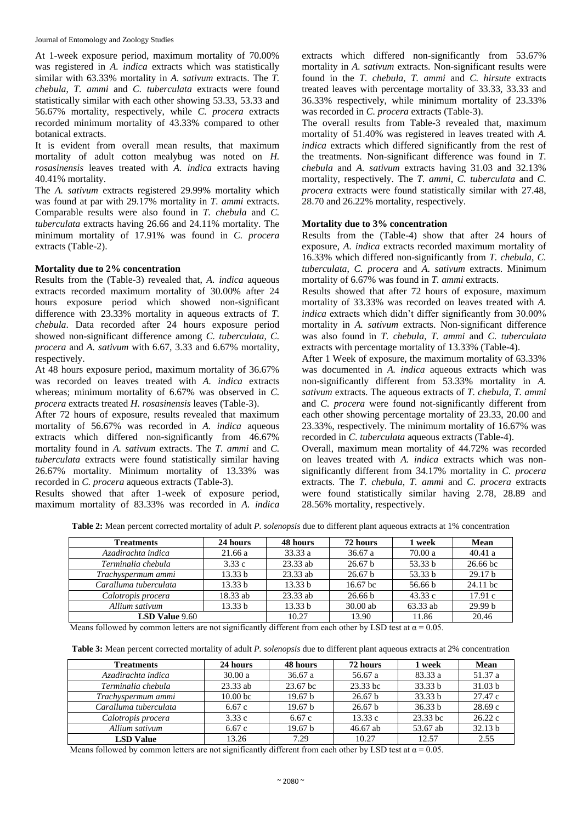At 1-week exposure period, maximum mortality of 70.00% was registered in *A. indica* extracts which was statistically similar with 63.33% mortality in *A. sativum* extracts. The *T. chebula*, *T. ammi* and *C. tuberculata* extracts were found statistically similar with each other showing 53.33, 53.33 and 56.67% mortality, respectively, while *C. procera* extracts recorded minimum mortality of 43.33% compared to other botanical extracts.

It is evident from overall mean results, that maximum mortality of adult cotton mealybug was noted on *H. rosasinensis* leaves treated with *A. indica* extracts having 40.41% mortality.

The *A. sativum* extracts registered 29.99% mortality which was found at par with 29.17% mortality in *T. ammi* extracts. Comparable results were also found in *T. chebula* and *C. tuberculata* extracts having 26.66 and 24.11% mortality. The minimum mortality of 17.91% was found in *C. procera* extracts (Table-2).

#### **Mortality due to 2% concentration**

Results from the (Table-3) revealed that, *A. indica* aqueous extracts recorded maximum mortality of 30.00% after 24 hours exposure period which showed non-significant difference with 23.33% mortality in aqueous extracts of *T. chebula*. Data recorded after 24 hours exposure period showed non-significant difference among *C. tuberculata*, *C. procera* and *A. sativum* with 6.67, 3.33 and 6.67% mortality, respectively.

At 48 hours exposure period, maximum mortality of 36.67% was recorded on leaves treated with *A. indica* extracts whereas; minimum mortality of 6.67% was observed in *C. procera* extracts treated *H. rosasinensis* leaves (Table-3).

After 72 hours of exposure, results revealed that maximum mortality of 56.67% was recorded in *A. indica* aqueous extracts which differed non-significantly from 46.67% mortality found in *A. sativum* extracts. The *T. ammi* and *C. tuberculata* extracts were found statistically similar having 26.67% mortality. Minimum mortality of 13.33% was recorded in *C. procera* aqueous extracts (Table-3).

Results showed that after 1-week of exposure period, maximum mortality of 83.33% was recorded in *A. indica* extracts which differed non-significantly from 53.67% mortality in *A. sativum* extracts. Non-significant results were found in the *T. chebula*, *T. ammi* and *C. hirsute* extracts treated leaves with percentage mortality of 33.33, 33.33 and 36.33% respectively, while minimum mortality of 23.33% was recorded in *C. procera* extracts (Table-3).

The overall results from Table-3 revealed that, maximum mortality of 51.40% was registered in leaves treated with *A. indica* extracts which differed significantly from the rest of the treatments. Non-significant difference was found in *T. chebula* and *A. sativum* extracts having 31.03 and 32.13% mortality, respectively. The *T. ammi*, *C. tuberculata* and *C. procera* extracts were found statistically similar with 27.48, 28.70 and 26.22% mortality, respectively.

#### **Mortality due to 3% concentration**

Results from the (Table-4) show that after 24 hours of exposure, *A. indica* extracts recorded maximum mortality of 16.33% which differed non-significantly from *T. chebula*, *C. tuberculata*, *C. procera* and *A. sativum* extracts. Minimum mortality of 6.67% was found in *T. ammi* extracts.

Results showed that after 72 hours of exposure, maximum mortality of 33.33% was recorded on leaves treated with *A. indica* extracts which didn't differ significantly from 30.00% mortality in *A. sativum* extracts. Non-significant difference was also found in *T. chebula*, *T. ammi* and *C. tuberculata* extracts with percentage mortality of 13.33% (Table-4).

After 1 Week of exposure, the maximum mortality of 63.33% was documented in *A. indica* aqueous extracts which was non-significantly different from 53.33% mortality in *A. sativum* extracts. The aqueous extracts of *T. chebula*, *T. ammi* and *C. procera* were found not-significantly different from each other showing percentage mortality of 23.33, 20.00 and 23.33%, respectively. The minimum mortality of 16.67% was recorded in *C. tuberculata* aqueous extracts (Table-4).

Overall, maximum mean mortality of 44.72% was recorded on leaves treated with *A. indica* extracts which was nonsignificantly different from 34.17% mortality in *C. procera*  extracts. The *T. chebula*, *T. ammi* and *C. procera* extracts were found statistically similar having 2.78, 28.89 and 28.56% mortality, respectively.

**Table 2:** Mean percent corrected mortality of adult *P. solenopsis* due to different plant aqueous extracts at 1% concentration

| <b>Treatments</b>     | 24 hours           | 48 hours   | 72 hours           | 1 week   | <b>Mean</b>        |
|-----------------------|--------------------|------------|--------------------|----------|--------------------|
| Azadirachta indica    | 21.66 a            | 33.33 a    | 36.67 a            | 70.00a   | 40.41a             |
| Terminalia chebula    | 3.33c              | $23.33$ ab | 26.67 <sub>b</sub> | 53.33 b  | 26.66 bc           |
| Trachyspermum ammi    | 13.33 <sub>b</sub> | $23.33$ ab | 26.67 <sub>b</sub> | 53.33 b  | 29.17 <sub>b</sub> |
| Caralluma tuberculata | 13.33 b            | 13.33 b    | $16.67 \text{ bc}$ | 56.66 b  | 24.11 bc           |
| Calotropis procera    | 18.33 ab           | $23.33$ ab | 26.66 <sub>b</sub> | 43.33c   | 17.91c             |
| Allium sativum        | 13.33 b            | 13.33 b    | $30.00$ ab         | 63.33 ab | 29.99 <sub>b</sub> |
| LSD Value 9.60        |                    | 10.27      | 13.90              | 11.86    | 20.46              |

Means followed by common letters are not significantly different from each other by LSD test at  $\alpha = 0.05$ .

**Table 3:** Mean percent corrected mortality of adult *P. solenopsis* due to different plant aqueous extracts at 2% concentration

| <b>Treatments</b>     | 24 hours            | 48 hours           | 72 hours | 1 week   | Mean    |
|-----------------------|---------------------|--------------------|----------|----------|---------|
| Azadirachta indica    | 30.00a              | 36.67a             | 56.67 a  | 83.33 a  | 51.37 a |
| Terminalia chebula    | $23.33$ ab          | 23.67 bc           | 23.33 bc | 33.33 h  | 31.03 b |
| Trachyspermum ammi    | 10.00 <sub>bc</sub> | 19.67 <sub>b</sub> | 26.67 b  | 33.33 b  | 27.47c  |
| Caralluma tuberculata | 6.67c               | 19.67 h            | 26.67 b  | 36.33 h  | 28.69c  |
| Calotropis procera    | 3.33c               | 6.67c              | 13.33c   | 23.33 bc | 26.22c  |
| Allium sativum        | 6.67c               | 19.67 h            | 46.67 ab | 53.67 ab | 32.13 b |
| <b>LSD</b> Value      | 13.26               | 7.29               | 10.27    | 12.57    | 2.55    |

Means followed by common letters are not significantly different from each other by LSD test at  $\alpha$  = 0.05.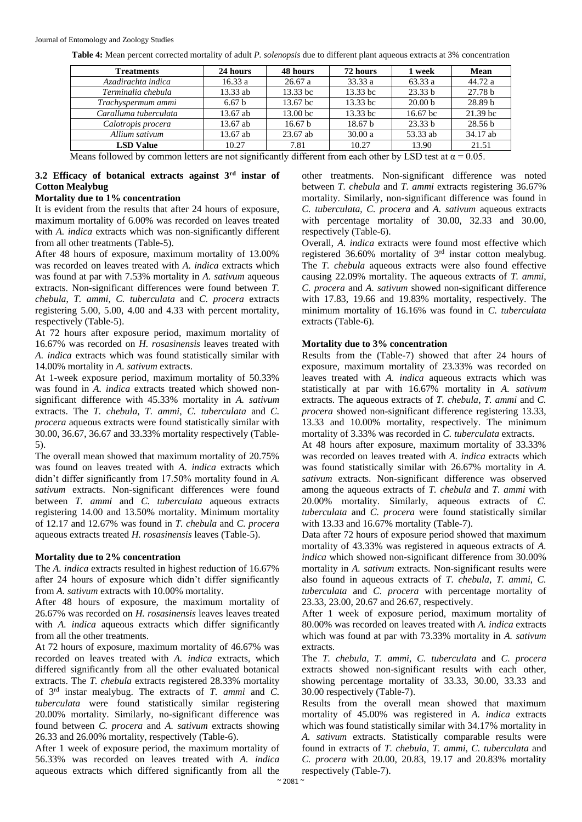|  |  | Table 4: Mean percent corrected mortality of adult P, solenopsis due to different plant aqueous extracts at 3% concentration |  |
|--|--|------------------------------------------------------------------------------------------------------------------------------|--|
|  |  |                                                                                                                              |  |

| <b>Treatments</b>     | 24 hours          | 48 hours           | 72 hours           | 1 week             | <b>Mean</b>        |
|-----------------------|-------------------|--------------------|--------------------|--------------------|--------------------|
| Azadirachta indica    | 16.33a            | 26.67a             | 33.33a             | 63.33 a            | 44.72 a            |
| Terminalia chebula    | 13.33 ab          | 13.33 bc           | $13.33$ bc         | 23.33 b            | 27.78 <sub>b</sub> |
| Trachyspermum ammi    | 6.67 <sub>b</sub> | 13.67 bc           | $13.33$ bc         | 20.00 <sub>b</sub> | 28.89 <sub>b</sub> |
| Caralluma tuberculata | 13.67 ab          | 13.00 bc           | 13.33 bc           | 16.67 bc           | $21.39$ bc         |
| Calotropis procera    | 13.67 ab          | 16.67 <sub>b</sub> | 18.67 <sub>b</sub> | 23.33 h            | 28.56 <sub>b</sub> |
| Allium sativum        | 13.67 ab          | 23.67 ab           | 30.00a             | 53.33 ab           | 34.17 ab           |
| <b>LSD Value</b>      | 10.27             | 7.81               | 10.27              | 13.90              | 21.51              |
|                       |                   |                    |                    |                    |                    |

Means followed by common letters are not significantly different from each other by LSD test at  $\alpha = 0.05$ .

#### **3.2 Efficacy of botanical extracts against 3rd instar of Cotton Mealybug**

#### **Mortality due to 1% concentration**

It is evident from the results that after 24 hours of exposure, maximum mortality of 6.00% was recorded on leaves treated with *A. indica* extracts which was non-significantly different from all other treatments (Table-5).

After 48 hours of exposure, maximum mortality of 13.00% was recorded on leaves treated with *A. indica* extracts which was found at par with 7.53% mortality in *A. sativum* aqueous extracts. Non-significant differences were found between *T. chebula*, *T. ammi*, *C. tuberculata* and *C. procera* extracts registering 5.00, 5.00, 4.00 and 4.33 with percent mortality, respectively (Table-5).

At 72 hours after exposure period, maximum mortality of 16.67% was recorded on *H. rosasinensis* leaves treated with *A. indica* extracts which was found statistically similar with 14.00% mortality in *A. sativum* extracts.

At 1-week exposure period, maximum mortality of 50.33% was found in *A. indica* extracts treated which showed nonsignificant difference with 45.33% mortality in *A. sativum* extracts. The *T. chebula*, *T. ammi*, *C. tuberculata* and *C. procera* aqueous extracts were found statistically similar with 30.00, 36.67, 36.67 and 33.33% mortality respectively (Table-5).

The overall mean showed that maximum mortality of 20.75% was found on leaves treated with *A. indica* extracts which didn't differ significantly from 17.50% mortality found in *A. sativum* extracts. Non-significant differences were found between *T. ammi* and *C. tuberculata* aqueous extracts registering 14.00 and 13.50% mortality. Minimum mortality of 12.17 and 12.67% was found in *T. chebula* and *C. procera* aqueous extracts treated *H. rosasinensis* leaves (Table-5).

#### **Mortality due to 2% concentration**

The *A. indica* extracts resulted in highest reduction of 16.67% after 24 hours of exposure which didn't differ significantly from *A. sativum* extracts with 10.00% mortality.

After 48 hours of exposure, the maximum mortality of 26.67% was recorded on *H. rosasinensis* leaves leaves treated with *A. indica* aqueous extracts which differ significantly from all the other treatments.

At 72 hours of exposure, maximum mortality of 46.67% was recorded on leaves treated with *A. indica* extracts, which differed significantly from all the other evaluated botanical extracts. The *T. chebula* extracts registered 28.33% mortality of 3rd instar mealybug. The extracts of *T. ammi* and *C. tuberculata* were found statistically similar registering 20.00% mortality. Similarly, no-significant difference was found between *C. procera* and *A. sativum* extracts showing 26.33 and 26.00% mortality, respectively (Table-6).

After 1 week of exposure period, the maximum mortality of 56.33% was recorded on leaves treated with *A. indica* aqueous extracts which differed significantly from all the

other treatments. Non-significant difference was noted between *T. chebula* and *T. ammi* extracts registering 36.67% mortality. Similarly, non-significant difference was found in *C. tuberculata*, *C. procera* and *A. sativum* aqueous extracts with percentage mortality of 30.00, 32.33 and 30.00, respectively (Table-6).

Overall, *A. indica* extracts were found most effective which registered 36.60% mortality of 3rd instar cotton mealybug. The *T. chebula* aqueous extracts were also found effective causing 22.09% mortality. The aqueous extracts of *T. ammi*, *C. procera* and *A. sativum* showed non-significant difference with 17.83, 19.66 and 19.83% mortality, respectively. The minimum mortality of 16.16% was found in *C. tuberculata* extracts (Table-6).

#### **Mortality due to 3% concentration**

Results from the (Table-7) showed that after 24 hours of exposure, maximum mortality of 23.33% was recorded on leaves treated with *A. indica* aqueous extracts which was statistically at par with 16.67% mortality in *A. sativum* extracts. The aqueous extracts of *T. chebula*, *T. ammi* and *C. procera* showed non-significant difference registering 13.33, 13.33 and 10.00% mortality, respectively. The minimum mortality of 3.33% was recorded in *C. tuberculata* extracts.

At 48 hours after exposure, maximum mortality of 33.33% was recorded on leaves treated with *A. indica* extracts which was found statistically similar with 26.67% mortality in *A. sativum* extracts. Non-significant difference was observed among the aqueous extracts of *T. chebula* and *T. ammi* with 20.00% mortality. Similarly, aqueous extracts of *C. tuberculata* and *C. procera* were found statistically similar with 13.33 and 16.67% mortality (Table-7).

Data after 72 hours of exposure period showed that maximum mortality of 43.33% was registered in aqueous extracts of *A. indica* which showed non-significant difference from 30.00% mortality in *A. sativum* extracts. Non-significant results were also found in aqueous extracts of *T. chebula*, *T. ammi*, *C. tuberculata* and *C. procera* with percentage mortality of 23.33, 23.00, 20.67 and 26.67, respectively.

After 1 week of exposure period, maximum mortality of 80.00% was recorded on leaves treated with *A. indica* extracts which was found at par with 73.33% mortality in *A. sativum* extracts.

The *T. chebula*, *T. ammi*, *C. tuberculata* and *C. procera*  extracts showed non-significant results with each other, showing percentage mortality of 33.33, 30.00, 33.33 and 30.00 respectively (Table-7).

Results from the overall mean showed that maximum mortality of 45.00% was registered in *A. indica* extracts which was found statistically similar with 34.17% mortality in *A. sativum* extracts. Statistically comparable results were found in extracts of *T. chebula*, *T. ammi*, *C. tuberculata* and *C. procera* with 20.00, 20.83, 19.17 and 20.83% mortality respectively (Table-7).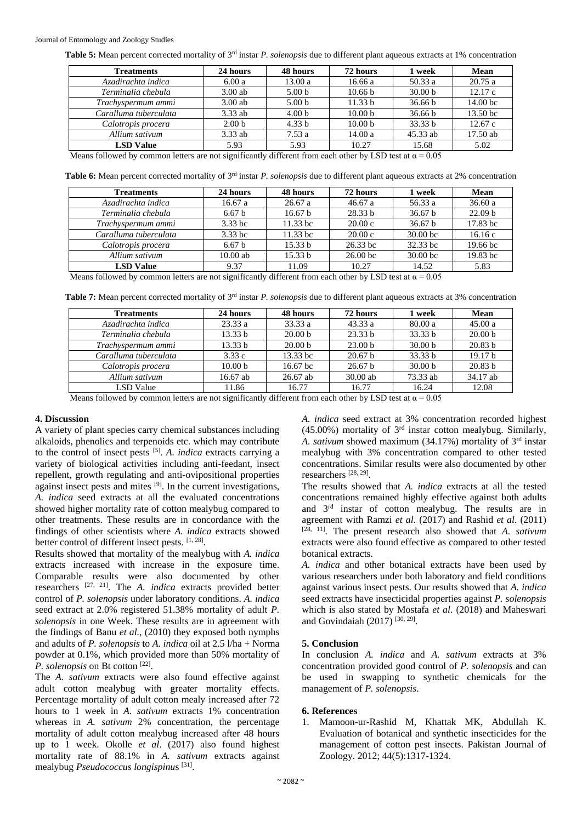**Table 5:** Mean percent corrected mortality of 3rd instar *P. solenopsis* due to different plant aqueous extracts at 1% concentration

| <b>Treatments</b>     | 24 hours          | 48 hours          | 72 hours           | 1 week             | <b>Mean</b>         |
|-----------------------|-------------------|-------------------|--------------------|--------------------|---------------------|
| Azadirachta indica    | 6.00a             | 13.00a            | 16.66a             | 50.33a             | 20.75a              |
| Terminalia chebula    | $3.00$ ab         | 5.00 <sub>b</sub> | 10.66 <sub>b</sub> | 30.00 <sub>b</sub> | 12.17c              |
| Trachyspermum ammi    | $3.00$ ab         | 5.00 <sub>b</sub> | 11.33 b            | 36.66 b            | 14.00 <sub>bc</sub> |
| Caralluma tuberculata | $3.33$ ab         | 4.00 <sub>b</sub> | 10.00 <sub>b</sub> | 36.66 b            | 13.50 <sub>bc</sub> |
| Calotropis procera    | 2.00 <sub>b</sub> | 4.33 <sub>b</sub> | 10.00 <sub>b</sub> | 33.33 b            | 12.67c              |
| Allium sativum        | $3.33$ ab         | 7.53a             | 14.00a             | 45.33 ab           | 17.50 ab            |
| <b>LSD Value</b>      | 5.93              | 5.93              | 10.27              | 15.68              | 5.02                |
|                       |                   |                   |                    |                    |                     |

Means followed by common letters are not significantly different from each other by LSD test at  $\alpha = 0.05$ 

**Table 6:** Mean percent corrected mortality of 3rd instar *P. solenopsis* due to different plant aqueous extracts at 2% concentration

| <b>Treatments</b>     | 24 hours          | 48 hours           | 72 hours            | 1 week              | <b>Mean</b>         |
|-----------------------|-------------------|--------------------|---------------------|---------------------|---------------------|
| Azadirachta indica    | 16.67a            | 26.67a             | 46.67a              | 56.33 a             | 36.60a              |
| Terminalia chebula    | 6.67 <sub>b</sub> | 16.67 <sub>b</sub> | 28.33 b             | 36.67 b             | 22.09 <sub>b</sub>  |
| Trachyspermum ammi    | $3.33$ bc         | $11.33$ bc         | 20.00c              | 36.67 h             | $17.83$ bc          |
| Caralluma tuberculata | $3.33$ bc         | $11.33$ bc         | 20.00c              | 30.00 <sub>bc</sub> | 16.16c              |
| Calotropis procera    | 6.67 <sub>b</sub> | 15.33 b            | $26.33$ bc          | 32.33 bc            | 19.66 <sub>bc</sub> |
| Allium sativum        | $10.00$ ab        | 15.33 b            | 26.00 <sub>bc</sub> | 30.00 <sub>bc</sub> | $19.83$ bc          |
| <b>LSD</b> Value      | 9.37              | 11.09              | 10.27               | 14.52               | 5.83                |

Means followed by common letters are not significantly different from each other by LSD test at  $\alpha = 0.05$ 

**Table 7:** Mean percent corrected mortality of 3rd instar *P. solenopsis* due to different plant aqueous extracts at 3% concentration

| <b>Treatments</b>     | 24 hours           | 48 hours            | 72 hours           | 1 week             | <b>Mean</b>        |
|-----------------------|--------------------|---------------------|--------------------|--------------------|--------------------|
| Azadirachta indica    | 23.33a             | 33.33 a             | 43.33a             | 80.00a             | 45.00a             |
| Terminalia chebula    | 13.33 b            | 20.00 <sub>b</sub>  | 23.33 <sub>b</sub> | 33.33 b            | 20.00 <sub>b</sub> |
| Trachyspermum ammi    | 13.33 b            | 20.00 <sub>b</sub>  | 23.00 <sub>b</sub> | 30.00 <sub>b</sub> | 20.83 b            |
| Caralluma tuberculata | 3.33c              | 13.33 bc            | 20.67 h            | 33.33 b            | 19.17 <sub>b</sub> |
| Calotropis procera    | 10.00 <sub>b</sub> | 16.67 <sub>bc</sub> | 26.67 <sub>b</sub> | 30.00 <sub>b</sub> | 20.83 b            |
| Allium sativum        | 16.67 ab           | $26.67$ ab          | $30.00$ ab         | 73.33 ab           | 34.17 ab           |
| LSD Value             | 11.86              | 16.77               | 16.77              | 16.24              | 12.08              |
|                       |                    |                     |                    |                    |                    |

Means followed by common letters are not significantly different from each other by LSD test at  $\alpha = 0.05$ 

#### **4. Discussion**

A variety of plant species carry chemical substances including alkaloids, phenolics and terpenoids etc. which may contribute to the control of insect pests [5] . *A. indica* extracts carrying a variety of biological activities including anti-feedant, insect repellent, growth regulating and anti-ovipositional properties against insect pests and mites [9]. In the current investigations, *A. indica* seed extracts at all the evaluated concentrations showed higher mortality rate of cotton mealybug compared to other treatments. These results are in concordance with the findings of other scientists where *A. indica* extracts showed better control of different insect pests. [1, 28].

Results showed that mortality of the mealybug with *A. indica* extracts increased with increase in the exposure time. Comparable results were also documented by other researchers [27, 21]. The *A. indica* extracts provided better control of *P. solenopsis* under laboratory conditions. *A. indica* seed extract at 2.0% registered 51.38% mortality of adult *P. solenopsis* in one Week. These results are in agreement with the findings of Banu *et al.,* (2010) they exposed both nymphs and adults of *P. solenopsis* to *A. indica* oil at 2.5 l/ha + Norma powder at 0.1%, which provided more than 50% mortality of P. solenopsis on Bt cotton<sup>[22]</sup>.

The *A. sativum* extracts were also found effective against adult cotton mealybug with greater mortality effects. Percentage mortality of adult cotton mealy increased after 72 hours to 1 week in *A. sativum* extracts 1% concentration whereas in *A. sativum* 2% concentration, the percentage mortality of adult cotton mealybug increased after 48 hours up to 1 week. Okolle *et al*. (2017) also found highest mortality rate of 88.1% in *A. sativum* extracts against mealybug *Pseudococcus longispinu*s [31] .

*A. indica* seed extract at 3% concentration recorded highest  $(45.00\%)$  mortality of  $3<sup>rd</sup>$  instar cotton mealybug. Similarly, *A. sativum* showed maximum (34.17%) mortality of 3rd instar mealybug with 3% concentration compared to other tested concentrations. Similar results were also documented by other researchers [28, 29] .

The results showed that *A. indica* extracts at all the tested concentrations remained highly effective against both adults and 3rd instar of cotton mealybug. The results are in agreement with Ramzi *et al*. (2017) and Rashid *et al*. (2011) [28, 11]. The present research also showed that *A. sativum* extracts were also found effective as compared to other tested botanical extracts.

*A. indica* and other botanical extracts have been used by various researchers under both laboratory and field conditions against various insect pests. Our results showed that *A. indica* seed extracts have insecticidal properties against *P. solenopsis* which is also stated by Mostafa *et al*. (2018) and Maheswari and Govindaiah (2017) [30, 29] .

#### **5. Conclusion**

In conclusion *A. indica* and *A. sativum* extracts at 3% concentration provided good control of *P. solenopsis* and can be used in swapping to synthetic chemicals for the management of *P. solenopsis*.

#### **6. References**

1. Mamoon-ur-Rashid M, Khattak MK, Abdullah K. Evaluation of botanical and synthetic insecticides for the management of cotton pest insects. Pakistan Journal of Zoology. 2012; 44(5):1317-1324.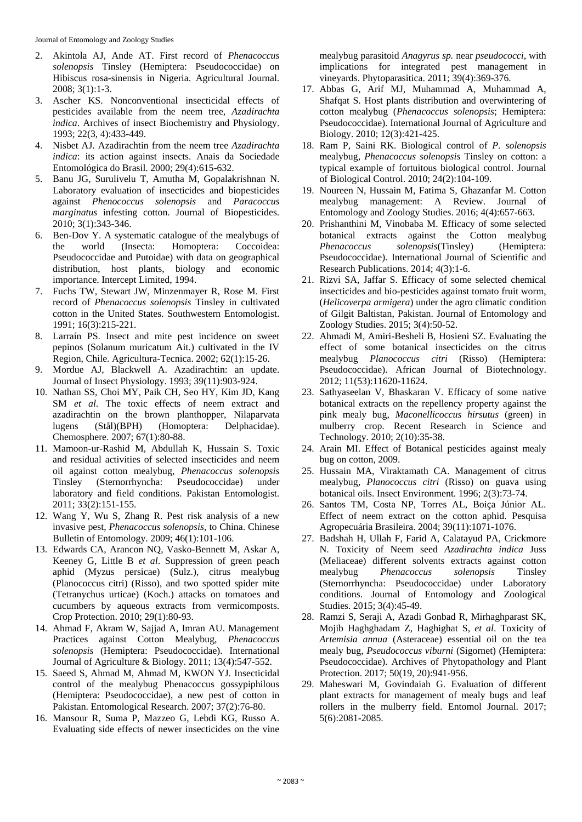Journal of Entomology and Zoology Studies

- 2. Akintola AJ, Ande AT. First record of *Phenacoccus solenopsis* Tinsley (Hemiptera: Pseudococcidae) on Hibiscus rosa-sinensis in Nigeria. Agricultural Journal. 2008; 3(1):1-3.
- 3. Ascher KS. Nonconventional insecticidal effects of pesticides available from the neem tree, *Azadirachta indica*. Archives of insect Biochemistry and Physiology. 1993; 22(3, 4):433-449.
- 4. Nisbet AJ. Azadirachtin from the neem tree *Azadirachta indica*: its action against insects. Anais da Sociedade Entomológica do Brasil. 2000; 29(4):615-632.
- 5. Banu JG, Surulivelu T, Amutha M, Gopalakrishnan N. Laboratory evaluation of insecticides and biopesticides against *Phenococcus solenopsis* and *Paracoccus marginatus* infesting cotton. Journal of Biopesticides. 2010; 3(1):343-346.
- 6. Ben-Dov Y. A systematic catalogue of the mealybugs of the world (Insecta: Homoptera: Coccoidea: Pseudococcidae and Putoidae) with data on geographical distribution, host plants, biology and economic importance. Intercept Limited, 1994.
- 7. Fuchs TW, Stewart JW, Minzenmayer R, Rose M. First record of *Phenacoccus solenopsis* Tinsley in cultivated cotton in the United States. Southwestern Entomologist. 1991; 16(3):215-221.
- 8. Larraín PS. Insect and mite pest incidence on sweet pepinos (Solanum muricatum Ait.) cultivated in the IV Region, Chile. Agricultura-Tecnica. 2002; 62(1):15-26.
- 9. Mordue AJ, Blackwell A. Azadirachtin: an update. Journal of Insect Physiology. 1993; 39(11):903-924.
- 10. Nathan SS, Choi MY, Paik CH, Seo HY, Kim JD, Kang SM *et al.* The toxic effects of neem extract and azadirachtin on the brown planthopper, Nilaparvata lugens (Stål)(BPH) (Homoptera: Delphacidae). Chemosphere. 2007; 67(1):80-88.
- 11. Mamoon-ur-Rashid M, Abdullah K, Hussain S. Toxic and residual activities of selected insecticides and neem oil against cotton mealybug, *Phenacoccus solenopsis* Tinsley (Sternorrhyncha: Pseudococcidae) under laboratory and field conditions. Pakistan Entomologist. 2011; 33(2):151-155.
- 12. Wang Y, Wu S, Zhang R. Pest risk analysis of a new invasive pest, *Phenacoccus solenopsis*, to China. Chinese Bulletin of Entomology. 2009; 46(1):101-106.
- 13. Edwards CA, Arancon NQ, Vasko-Bennett M, Askar A, Keeney G, Little B *et al*. Suppression of green peach aphid (Myzus persicae) (Sulz.), citrus mealybug (Planococcus citri) (Risso), and two spotted spider mite (Tetranychus urticae) (Koch.) attacks on tomatoes and cucumbers by aqueous extracts from vermicomposts. Crop Protection. 2010; 29(1):80-93.
- 14. Ahmad F, Akram W, Sajjad A, Imran AU. Management Practices against Cotton Mealybug, *Phenacoccus solenopsis* (Hemiptera: Pseudococcidae). International Journal of Agriculture & Biology. 2011; 13(4):547-552.
- 15. Saeed S, Ahmad M, Ahmad M, KWON YJ. Insecticidal control of the mealybug Phenacoccus gossypiphilous (Hemiptera: Pseudococcidae), a new pest of cotton in Pakistan. Entomological Research. 2007; 37(2):76-80.
- 16. Mansour R, Suma P, Mazzeo G, Lebdi KG, Russo A. Evaluating side effects of newer insecticides on the vine

mealybug parasitoid *Anagyrus sp.* near *pseudococci*, with implications for integrated pest management in vineyards. Phytoparasitica. 2011; 39(4):369-376.

- 17. Abbas G, Arif MJ, Muhammad A, Muhammad A, Shafqat S. Host plants distribution and overwintering of cotton mealybug (*Phenacoccus solenopsis*; Hemiptera: Pseudococcidae). International Journal of Agriculture and Biology. 2010; 12(3):421-425.
- 18. Ram P, Saini RK. Biological control of *P. solenopsis* mealybug, *Phenacoccus solenopsis* Tinsley on cotton: a typical example of fortuitous biological control. Journal of Biological Control. 2010; 24(2):104-109.
- 19. Noureen N, Hussain M, Fatima S, Ghazanfar M. Cotton mealybug management: A Review. Journal of Entomology and Zoology Studies. 2016; 4(4):657-663.
- 20. Prishanthini M, Vinobaba M. Efficacy of some selected botanical extracts against the Cotton mealybug *Phenacoccus solenopsis*(Tinsley) (Hemiptera: Pseudococcidae). International Journal of Scientific and Research Publications. 2014; 4(3):1-6.
- 21. Rizvi SA, Jaffar S. Efficacy of some selected chemical insecticides and bio-pesticides against tomato fruit worm, (*Helicoverpa armigera*) under the agro climatic condition of Gilgit Baltistan, Pakistan. Journal of Entomology and Zoology Studies. 2015; 3(4):50-52.
- 22. Ahmadi M, Amiri-Besheli B, Hosieni SZ. Evaluating the effect of some botanical insecticides on the citrus mealybug *Planococcus citri* (Risso) (Hemiptera: Pseudococcidae). African Journal of Biotechnology. 2012; 11(53):11620-11624.
- 23. Sathyaseelan V, Bhaskaran V. Efficacy of some native botanical extracts on the repellency property against the pink mealy bug, *Maconellicoccus hirsutus* (green) in mulberry crop. Recent Research in Science and Technology. 2010; 2(10):35-38.
- 24. Arain MI. Effect of Botanical pesticides against mealy bug on cotton, 2009.
- 25. Hussain MA, Viraktamath CA. Management of citrus mealybug, *Planococcus citri* (Risso) on guava using botanical oils. Insect Environment. 1996; 2(3):73-74.
- 26. Santos TM, Costa NP, Torres AL, Boiça Júnior AL. Effect of neem extract on the cotton aphid. Pesquisa Agropecuária Brasileira. 2004; 39(11):1071-1076.
- 27. Badshah H, Ullah F, Farid A, Calatayud PA, Crickmore N. Toxicity of Neem seed *Azadirachta indica* Juss (Meliaceae) different solvents extracts against cotton mealybug *Phenacoccus solenopsis* Tinsley (Sternorrhyncha: Pseudococcidae) under Laboratory conditions. Journal of Entomology and Zoological Studies. 2015; 3(4):45-49.
- 28. Ramzi S, Seraji A, Azadi Gonbad R, Mirhaghparast SK, Mojib Haghghadam Z, Haghighat S, *et al*. Toxicity of *Artemisia annua* (Asteraceae) essential oil on the tea mealy bug, *Pseudococcus viburni* (Sigornet) (Hemiptera: Pseudococcidae). Archives of Phytopathology and Plant Protection. 2017; 50(19, 20):941-956.
- 29. Maheswari M, Govindaiah G. Evaluation of different plant extracts for management of mealy bugs and leaf rollers in the mulberry field. Entomol Journal. 2017; 5(6):2081-2085.